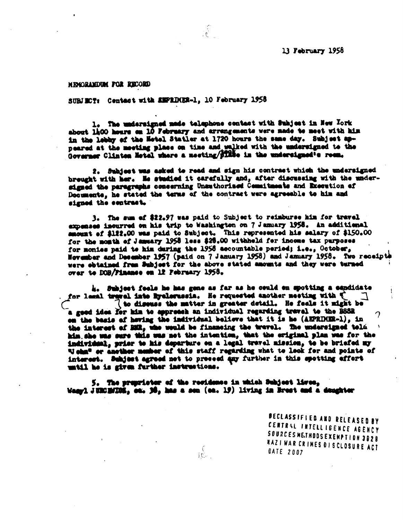NEMORANDUK FON RBOORD

SUBJECT: Centact with *EMPRIMER-1*, 10 February 1958

•

1. The undersigned made telephone contact with Subject in Now York about 1400 hours **on** 10 February and arrangements were made **to meet** with his in the lebby of the **Motel** Statler at 1720 hours the sues day. Subjeet appeared at the meeting place on time and walked with the undersigned to the Governer Clinten Netel where a meeting/**FTHe** in the undersigned<sup>1</sup>s reem.

्<br>(वेज

**2. bubjost** wee said to read sad sign his contrast whieb the undersigned brought with bar. 14 studied it carefully end, after discussing with the under**signed the** paragraphs concerning Unauthorised Commitneats and Ixecution of Documents, he stated the terms of the contrast were agreeable to him and signed the contract.

3. Tho sun of \$22.97 was paid to Subject to reimburse bin for travel expenses incurred on his trip to Washington on 7 January 1958. An additional amount of \$122.00 was paid to Subject. This represented his salary of \$150.00 for the month of January 1958 less \$26.00 withhold fer income tax purposes for monies paid to him during the 1958 accountable period; i.e., October, in the lebby of the Hetel Statier at 1720 hours the same day. Subject spectroscore of the monoing place on the and wells with the undersigned to the Governor Clinton Hetel where a setting dispending his to modernique the November and posembor 1957 (paid on 7 January 1958) and January 1956. Two recelptil were obtained **fres** Sibjeet for **the** *above* **stated amounts and they** were turned over **to DOB/Finanse** on 12 February 1958.

4. Subjeet fools he has gene as far as be could es spotting a eandidate for lessl travel into Byelorussia. He requested another meeting with  $\begin{bmatrix} 1 \end{bmatrix}$ to dissuss the natter **in** greater **detail, is feels** it might be signed the entreat.<br>
3. The sum of \$22.97 was paid to Subject to reinburge him for travel<br>
expenses incurred on his trip to Weshington on 7 January 1958. In additional<br>
expenses to Allicol was paid to Subject. This repres on the basis of hawing the imdividaal believe that it is be (AVR11111-1), in the interest of **1111, who weld be financing the travel.** The undersigned teld him, she was sure this was not the intention, that the original plan was for the **irdiwidaal, prior to** his departure es a **legal trowel** mission, **to** be briefed fa Vibe or another **nimbor** of this staff regarding what to look for and points of interest. Subject agreed not to preceed any further in this spotting effort until be is gives farther inotrestioss.

**5. The** prsprioter of the **rudders\* in whioh arbjeot l\*wes, blany)** JURCHIDS<sub>2</sub> co. 30, has a son (ea. 19) living in Brest and a daughter

 $\mathbb{R}^2$ 

DEC LASSIFIED AND **<sup>R</sup> ELEASED BY** CENTRAL INTELLIGENCE AGENCY<br>SOURCESMETHODSEXEMPTION 3828 **KAZI WAR CRIMES OI SCLOSURE ACT** DATE *2007*